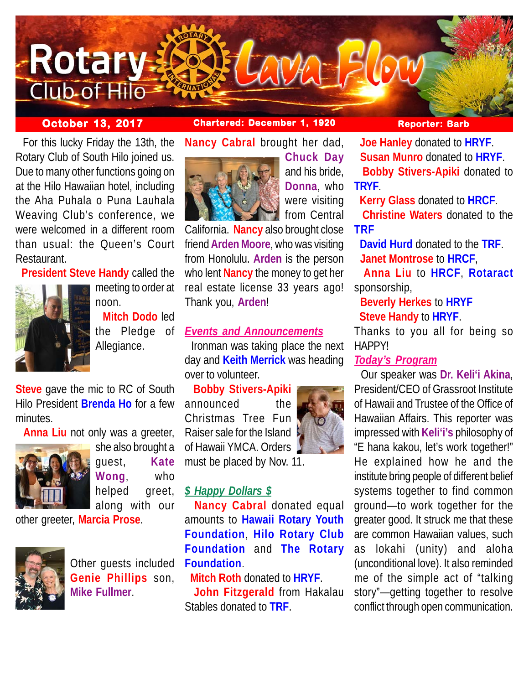

## **October 13, 2017 Chartered: December 1, 1920 Reporter: Barb**

 For this lucky Friday the 13th, the Rotary Club of South Hilo joined us. Due to many other functions going on at the Hilo Hawaiian hotel, including the Aha Puhala o Puna Lauhala Weaving Club's conference, we were welcomed in a different room than usual: the Queen's Court Restaurant.

**President Steve Handy** called the



meeting to order at noon.  **Mitch Dodo** led the Pledge of Allegiance.

**Steve** gave the mic to RC of South Hilo President **Brenda Ho** for a few minutes.

**Anna Liu** not only was a greeter,



she also brought a guest, **Kate Wong**, who helped greet, along with our

other greeter, **Marcia Prose**.



Other guests included **Genie Phillips** son, **Mike Fullmer**.

**Nancy Cabral** brought her dad,



**Chuck Day** and his bride, **Donna**, who were visiting from Central

California. **Nancy** also brought close friend **Arden Moore**, who was visiting from Honolulu. **Arden** is the person who lent **Nancy** the money to get her real estate license 33 years ago! Thank you, **Arden**!

# *Events and Announcements*

 Ironman was taking place the next day and **Keith Merrick** was heading over to volunteer.

 **Bobby Stivers-Apiki** announced the Christmas Tree Fun Raiser sale for the Island of Hawaii YMCA. Orders must be placed by Nov. 11.



*\$ Happy Dollars \$*

 **Nancy Cabral** donated equal amounts to **Hawaii Rotary Youth Foundation**, **Hilo Rotary Club Foundation** and **The Rotary Foundation**.

**Mitch Roth** donated to **HRYF**.

 **John Fitzgerald** from Hakalau Stables donated to **TRF**.

 **Joe Hanley** donated to **HRYF**. **Susan Munro** donated to **HRYF**. **Bobby Stivers-Apiki** donated to **TRYF**.

**Kerry Glass** donated to **HRCF**.

 **Christine Waters** donated to the **TRF**

 **David Hurd** donated to the **TRF**. **Janet Montrose** to **HRCF**,

 **Anna Liu** to **HRCF**, **Rotaract** sponsorship,

 **Beverly Herkes** to **HRYF Steve Handy** to **HRYF**.

Thanks to you all for being so HAPPY!

# *Today's Program*

 Our speaker was **Dr. Keli'i Akina**, President/CEO of Grassroot Institute of Hawaii and Trustee of the Office of Hawaiian Affairs. This reporter was impressed with **Keli'i's** philosophy of "E hana kakou, let's work together!" He explained how he and the institute bring people of different belief systems together to find common ground—to work together for the greater good. It struck me that these are common Hawaiian values, such as lokahi (unity) and aloha (unconditional love). It also reminded me of the simple act of "talking story"—getting together to resolve conflict through open communication.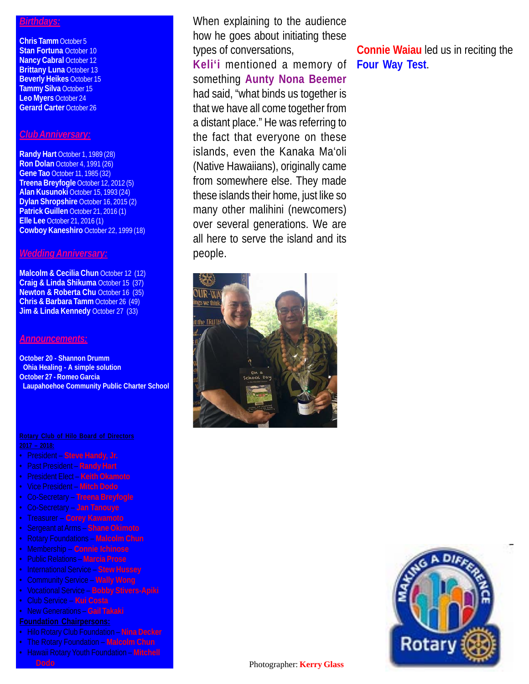### *Birthdays:*

**Chris Tamm** October 5 **Stan Fortuna** October 10 **Nancy Cabral October 12 Brittany Luna** October 13 **Beverly Heikes** October 15 **Tammy Silva** October 15 **Leo Myers** October 24 **Gerard Carter** October 26

### *Club Anniversary:*

**Randy Hart** October 1, 1989 (28) **Ron Dolan** October 4, 1991 (26) **Gene Tao** October 11, 1985 (32) **Treena Breyfogle** October 12, 2012 (5) **Alan Kusunoki** October 15, 1993 (24) **Dylan Shropshire** October 16, 2015 (2) **Patrick Guillen** October 21, 2016 (1) **Elle Lee** October 21, 2016 (1) **Cowboy Kaneshiro** October 22, 1999 (18)

#### *Wedding Anniversary:*

**Malcolm & Cecilia Chun October 12 (12) Craig & Linda Shikuma** October 15 (37) **Newton & Roberta Chu** October 16 (35) **Chris & Barbara Tamm** October 26 (49) **Jim & Linda Kennedy** October 27 (33)

#### *Announcements:*

**October 20 - Shannon Drumm Ohia Healing - A simple solution October 27 - Romeo Garcia Laupahoehoe Community Public Charter School**

- President **Steve Handy, Jr.**
- Past President **Randy Hart**
- President Elect **Keith Okamoto**
- Vice President **Mitch Dodo**
- Co-Secretary **Treena Breyfogle**
- Co-Secretary **Jan Tanouye**
- Treasurer **Corey Kawamoto**
- 
- 
- Membership **Connie Ichinose**
- Public Relations **Marcia Prose**
- International Service **Stew Hussey**
- Community Service **Wally Wong**
- Vocational Service **Bobby Stivers-Apiki**
- Club Service **Kui Costa**
- New Generations **Gail Takaki**

- 
- The Rotary Foundation **Malcolm Chun**
- Hawaii Rotary Youth Foundation **Mitchell Dodo** Photographer: **Kerry Glass**

When explaining to the audience how he goes about initiating these types of conversations,

**Keli'i** mentioned a memory of something **Aunty Nona Beemer** had said, "what binds us together is that we have all come together from a distant place." He was referring to the fact that everyone on these islands, even the Kanaka Ma'oli (Native Hawaiians), originally came from somewhere else. They made these islands their home, just like so many other malihini (newcomers) over several generations. We are all here to serve the island and its people.



**Connie Waiau** led us in reciting the **Four Way Test**.